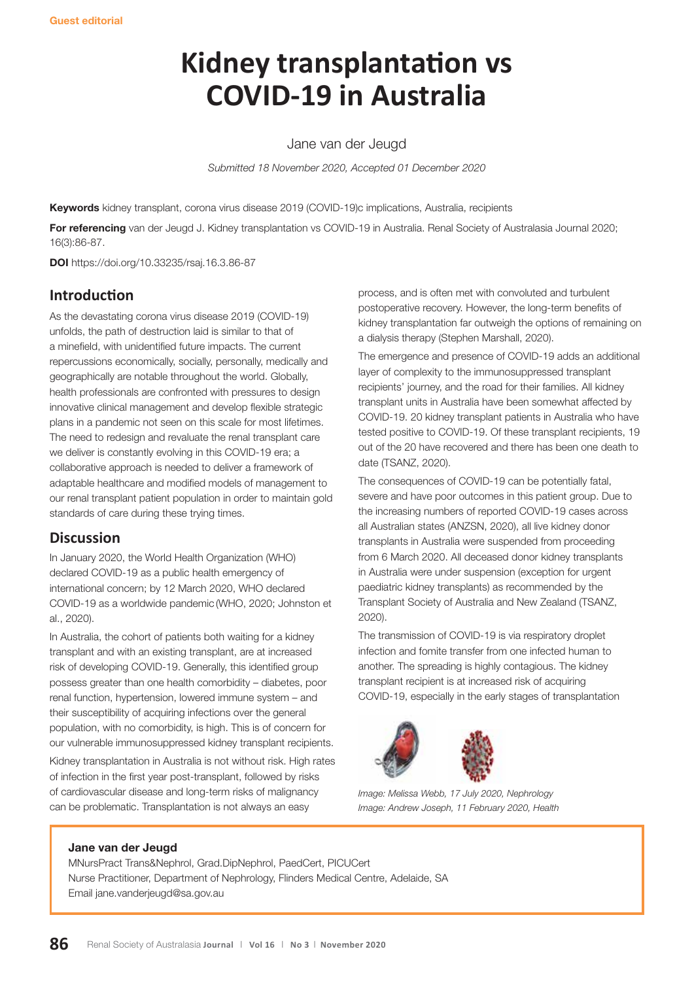# **Kidney transplantation vs COVID-19 in Australia**

Jane van der Jeugd

*Submitted 18 November 2020, Accepted 01 December 2020*

**Keywords** kidney transplant, corona virus disease 2019 (COVID-19)c implications, Australia, recipients

**For referencing** van der Jeugd J. Kidney transplantation vs COVID-19 in Australia. Renal Society of Australasia Journal 2020; 16(3):86-87.

**DOI** https://doi.org/10.33235/rsaj.16.3.86-87

# **Introduction**

As the devastating corona virus disease 2019 (COVID-19) unfolds, the path of destruction laid is similar to that of a minefield, with unidentified future impacts. The current repercussions economically, socially, personally, medically and geographically are notable throughout the world. Globally, health professionals are confronted with pressures to design innovative clinical management and develop flexible strategic plans in a pandemic not seen on this scale for most lifetimes. The need to redesign and revaluate the renal transplant care we deliver is constantly evolving in this COVID-19 era; a collaborative approach is needed to deliver a framework of adaptable healthcare and modified models of management to our renal transplant patient population in order to maintain gold standards of care during these trying times.

# **Discussion**

In January 2020, the World Health Organization (WHO) declared COVID-19 as a public health emergency of international concern; by 12 March 2020, WHO declared COVID-19 as a worldwide pandemic (WHO, 2020; Johnston et al., 2020).

In Australia, the cohort of patients both waiting for a kidney transplant and with an existing transplant, are at increased risk of developing COVID-19. Generally, this identified group possess greater than one health comorbidity – diabetes, poor renal function, hypertension, lowered immune system – and their susceptibility of acquiring infections over the general population, with no comorbidity, is high. This is of concern for our vulnerable immunosuppressed kidney transplant recipients.

Kidney transplantation in Australia is not without risk. High rates of infection in the first year post-transplant, followed by risks of cardiovascular disease and long-term risks of malignancy can be problematic. Transplantation is not always an easy

process, and is often met with convoluted and turbulent postoperative recovery. However, the long-term benefits of kidney transplantation far outweigh the options of remaining on a dialysis therapy (Stephen Marshall, 2020).

The emergence and presence of COVID-19 adds an additional layer of complexity to the immunosuppressed transplant recipients' journey, and the road for their families. All kidney transplant units in Australia have been somewhat affected by COVID-19. 20 kidney transplant patients in Australia who have tested positive to COVID-19. Of these transplant recipients, 19 out of the 20 have recovered and there has been one death to date (TSANZ, 2020).

The consequences of COVID-19 can be potentially fatal, severe and have poor outcomes in this patient group. Due to the increasing numbers of reported COVID-19 cases across all Australian states (ANZSN, 2020), all live kidney donor transplants in Australia were suspended from proceeding from 6 March 2020. All deceased donor kidney transplants in Australia were under suspension (exception for urgent paediatric kidney transplants) as recommended by the Transplant Society of Australia and New Zealand (TSANZ, 2020).

The transmission of COVID-19 is via respiratory droplet infection and fomite transfer from one infected human to another. The spreading is highly contagious. The kidney transplant recipient is at increased risk of acquiring COVID-19, especially in the early stages of transplantation



*Image: Melissa Webb, 17 July 2020, Nephrology Image: Andrew Joseph, 11 February 2020, Health*

#### **Jane van der Jeugd**

MNursPract Trans&Nephrol, Grad.DipNephrol, PaedCert, PICUCert Nurse Practitioner, Department of Nephrology, Flinders Medical Centre, Adelaide, SA Email jane.vanderjeugd@sa.gov.au